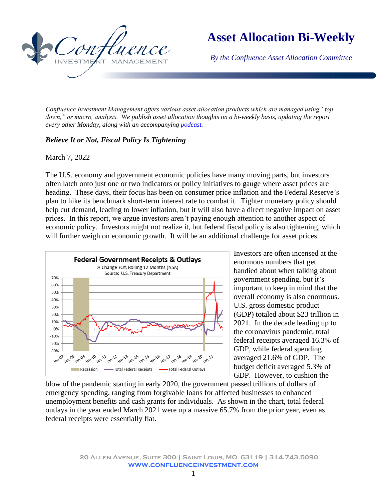

## **Asset Allocation Bi-Weekly**

*By the Confluence Asset Allocation Committee*

*Confluence Investment Management offers various asset allocation products which are managed using "top down," or macro, analysis. We publish asset allocation thoughts on a bi-weekly basis, updating the report every other Monday, along with an accompanying [podcast.](https://www.confluenceinvestment.com/category/podcasts/asset-allocation-weekly-podcast/)*

## *Believe It or Not, Fiscal Policy Is Tightening*

## March 7, 2022

The U.S. economy and government economic policies have many moving parts, but investors often latch onto just one or two indicators or policy initiatives to gauge where asset prices are heading. These days, their focus has been on consumer price inflation and the Federal Reserve's plan to hike its benchmark short-term interest rate to combat it. Tighter monetary policy should help cut demand, leading to lower inflation, but it will also have a direct negative impact on asset prices. In this report, we argue investors aren't paying enough attention to another aspect of economic policy. Investors might not realize it, but federal fiscal policy is also tightening, which will further weigh on economic growth. It will be an additional challenge for asset prices.



Investors are often incensed at the enormous numbers that get bandied about when talking about government spending, but it's important to keep in mind that the overall economy is also enormous. U.S. gross domestic product (GDP) totaled about \$23 trillion in 2021. In the decade leading up to the coronavirus pandemic, total federal receipts averaged 16.3% of GDP, while federal spending averaged 21.6% of GDP. The budget deficit averaged 5.3% of GDP. However, to cushion the

blow of the pandemic starting in early 2020, the government passed trillions of dollars of emergency spending, ranging from forgivable loans for affected businesses to enhanced unemployment benefits and cash grants for individuals. As shown in the chart, total federal outlays in the year ended March 2021 were up a massive 65.7% from the prior year, even as federal receipts were essentially flat.

> **20 Allen Avenue, Suite 300 | Saint Louis, MO 63119 | 314.743.5090 www.confluenceinvestment.com**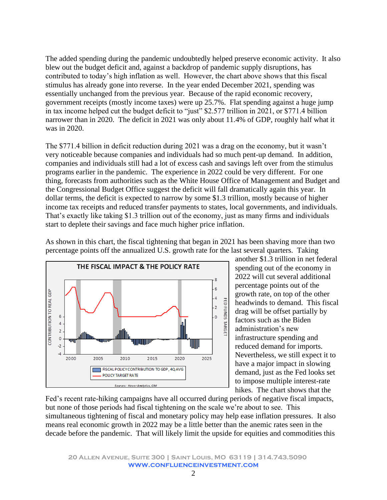The added spending during the pandemic undoubtedly helped preserve economic activity. It also blew out the budget deficit and, against a backdrop of pandemic supply disruptions, has contributed to today's high inflation as well. However, the chart above shows that this fiscal stimulus has already gone into reverse. In the year ended December 2021, spending was essentially unchanged from the previous year. Because of the rapid economic recovery, government receipts (mostly income taxes) were up 25.7%. Flat spending against a huge jump in tax income helped cut the budget deficit to "just" \$2.577 trillion in 2021, or \$771.4 billion narrower than in 2020. The deficit in 2021 was only about 11.4% of GDP, roughly half what it was in 2020.

The \$771.4 billion in deficit reduction during 2021 was a drag on the economy, but it wasn't very noticeable because companies and individuals had so much pent-up demand. In addition, companies and individuals still had a lot of excess cash and savings left over from the stimulus programs earlier in the pandemic. The experience in 2022 could be very different. For one thing, forecasts from authorities such as the White House Office of Management and Budget and the Congressional Budget Office suggest the deficit will fall dramatically again this year. In dollar terms, the deficit is expected to narrow by some \$1.3 trillion, mostly because of higher income tax receipts and reduced transfer payments to states, local governments, and individuals. That's exactly like taking \$1.3 trillion out of the economy, just as many firms and individuals start to deplete their savings and face much higher price inflation.

As shown in this chart, the fiscal tightening that began in 2021 has been shaving more than two percentage points off the annualized U.S. growth rate for the last several quarters. Taking



another \$1.3 trillion in net federal spending out of the economy in 2022 will cut several additional percentage points out of the growth rate, on top of the other headwinds to demand. This fiscal drag will be offset partially by factors such as the Biden administration's new infrastructure spending and reduced demand for imports. Nevertheless, we still expect it to have a major impact in slowing demand, just as the Fed looks set to impose multiple interest-rate hikes. The chart shows that the

Fed's recent rate-hiking campaigns have all occurred during periods of negative fiscal impacts, but none of those periods had fiscal tightening on the scale we're about to see. This simultaneous tightening of fiscal and monetary policy may help ease inflation pressures. It also means real economic growth in 2022 may be a little better than the anemic rates seen in the decade before the pandemic. That will likely limit the upside for equities and commodities this

**20 Allen Avenue, Suite 300 | Saint Louis, MO 63119 | 314.743.5090 www.confluenceinvestment.com**